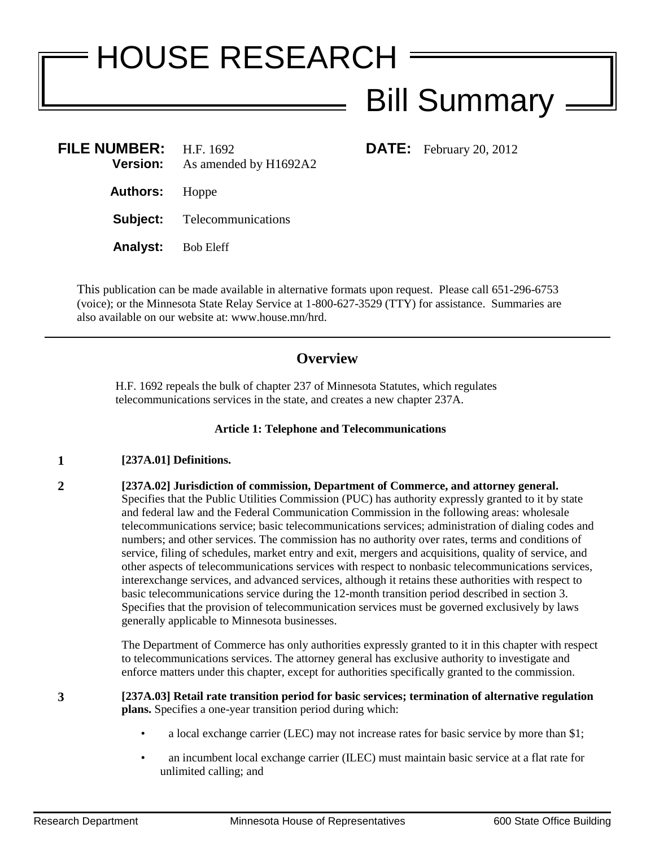# HOUSE RESEARCH Bill Summary

**DATE:** February 20, 2012

| <b>FILE NUMBER:</b><br>Version: | H.F. 1692<br>As amended by H1692A2 |
|---------------------------------|------------------------------------|
| <b>Authors:</b> Hoppe           |                                    |
|                                 | <b>Subject:</b> Telecommunications |
| <b>Analyst:</b> Bob Eleff       |                                    |
|                                 |                                    |

This publication can be made available in alternative formats upon request. Please call 651-296-6753 (voice); or the Minnesota State Relay Service at 1-800-627-3529 (TTY) for assistance. Summaries are also available on our website at: www.house.mn/hrd.

## **Overview**

H.F. 1692 repeals the bulk of chapter 237 of Minnesota Statutes, which regulates telecommunications services in the state, and creates a new chapter 237A.

### **Article 1: Telephone and Telecommunications**

#### **1 [237A.01] Definitions.**

**2 [237A.02] Jurisdiction of commission, Department of Commerce, and attorney general.**  Specifies that the Public Utilities Commission (PUC) has authority expressly granted to it by state and federal law and the Federal Communication Commission in the following areas: wholesale telecommunications service; basic telecommunications services; administration of dialing codes and numbers; and other services. The commission has no authority over rates, terms and conditions of service, filing of schedules, market entry and exit, mergers and acquisitions, quality of service, and other aspects of telecommunications services with respect to nonbasic telecommunications services, interexchange services, and advanced services, although it retains these authorities with respect to basic telecommunications service during the 12-month transition period described in section 3. Specifies that the provision of telecommunication services must be governed exclusively by laws generally applicable to Minnesota businesses.

> The Department of Commerce has only authorities expressly granted to it in this chapter with respect to telecommunications services. The attorney general has exclusive authority to investigate and enforce matters under this chapter, except for authorities specifically granted to the commission.

**3 [237A.03] Retail rate transition period for basic services; termination of alternative regulation plans.** Specifies a one-year transition period during which:

- a local exchange carrier (LEC) may not increase rates for basic service by more than \$1;
- an incumbent local exchange carrier (ILEC) must maintain basic service at a flat rate for unlimited calling; and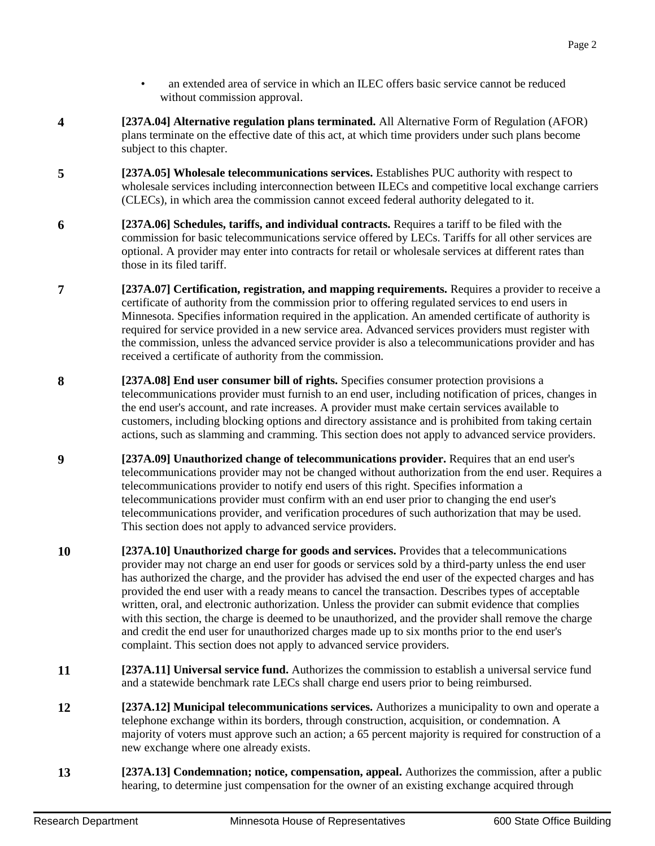- an extended area of service in which an ILEC offers basic service cannot be reduced without commission approval.
- **4 [237A.04] Alternative regulation plans terminated.** All Alternative Form of Regulation (AFOR) plans terminate on the effective date of this act, at which time providers under such plans become subject to this chapter.
- **5 [237A.05] Wholesale telecommunications services.** Establishes PUC authority with respect to wholesale services including interconnection between ILECs and competitive local exchange carriers (CLECs), in which area the commission cannot exceed federal authority delegated to it.
- **6 [237A.06] Schedules, tariffs, and individual contracts.** Requires a tariff to be filed with the commission for basic telecommunications service offered by LECs. Tariffs for all other services are optional. A provider may enter into contracts for retail or wholesale services at different rates than those in its filed tariff.
- **7 [237A.07] Certification, registration, and mapping requirements.** Requires a provider to receive a certificate of authority from the commission prior to offering regulated services to end users in Minnesota. Specifies information required in the application. An amended certificate of authority is required for service provided in a new service area. Advanced services providers must register with the commission, unless the advanced service provider is also a telecommunications provider and has received a certificate of authority from the commission.
- **8 [237A.08] End user consumer bill of rights.** Specifies consumer protection provisions a telecommunications provider must furnish to an end user, including notification of prices, changes in the end user's account, and rate increases. A provider must make certain services available to customers, including blocking options and directory assistance and is prohibited from taking certain actions, such as slamming and cramming. This section does not apply to advanced service providers.
- **9 [237A.09] Unauthorized change of telecommunications provider.** Requires that an end user's telecommunications provider may not be changed without authorization from the end user. Requires a telecommunications provider to notify end users of this right. Specifies information a telecommunications provider must confirm with an end user prior to changing the end user's telecommunications provider, and verification procedures of such authorization that may be used. This section does not apply to advanced service providers.
- **10 [237A.10] Unauthorized charge for goods and services.** Provides that a telecommunications provider may not charge an end user for goods or services sold by a third-party unless the end user has authorized the charge, and the provider has advised the end user of the expected charges and has provided the end user with a ready means to cancel the transaction. Describes types of acceptable written, oral, and electronic authorization. Unless the provider can submit evidence that complies with this section, the charge is deemed to be unauthorized, and the provider shall remove the charge and credit the end user for unauthorized charges made up to six months prior to the end user's complaint. This section does not apply to advanced service providers.
- **11 [237A.11] Universal service fund.** Authorizes the commission to establish a universal service fund and a statewide benchmark rate LECs shall charge end users prior to being reimbursed.
- **12 [237A.12] Municipal telecommunications services.** Authorizes a municipality to own and operate a telephone exchange within its borders, through construction, acquisition, or condemnation. A majority of voters must approve such an action; a 65 percent majority is required for construction of a new exchange where one already exists.
- **13 [237A.13] Condemnation; notice, compensation, appeal.** Authorizes the commission, after a public hearing, to determine just compensation for the owner of an existing exchange acquired through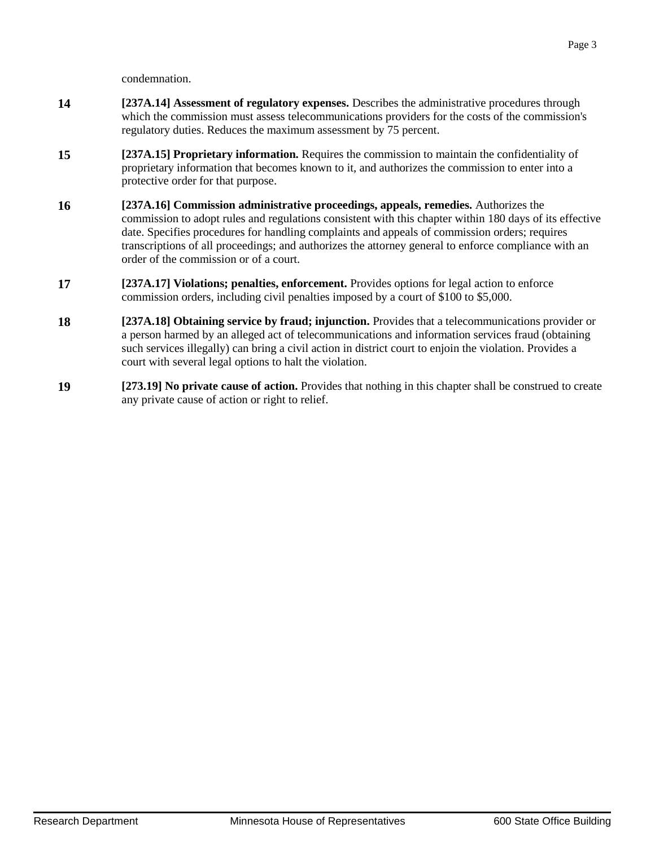condemnation.

- **14 [237A.14] Assessment of regulatory expenses.** Describes the administrative procedures through which the commission must assess telecommunications providers for the costs of the commission's regulatory duties. Reduces the maximum assessment by 75 percent.
- **15 [237A.15] Proprietary information.** Requires the commission to maintain the confidentiality of proprietary information that becomes known to it, and authorizes the commission to enter into a protective order for that purpose.
- **16 [237A.16] Commission administrative proceedings, appeals, remedies.** Authorizes the commission to adopt rules and regulations consistent with this chapter within 180 days of its effective date. Specifies procedures for handling complaints and appeals of commission orders; requires transcriptions of all proceedings; and authorizes the attorney general to enforce compliance with an order of the commission or of a court.
- **17 [237A.17] Violations; penalties, enforcement.** Provides options for legal action to enforce commission orders, including civil penalties imposed by a court of \$100 to \$5,000.
- **18 [237A.18] Obtaining service by fraud; injunction.** Provides that a telecommunications provider or a person harmed by an alleged act of telecommunications and information services fraud (obtaining such services illegally) can bring a civil action in district court to enjoin the violation. Provides a court with several legal options to halt the violation.
- **19 [273.19] No private cause of action.** Provides that nothing in this chapter shall be construed to create any private cause of action or right to relief.